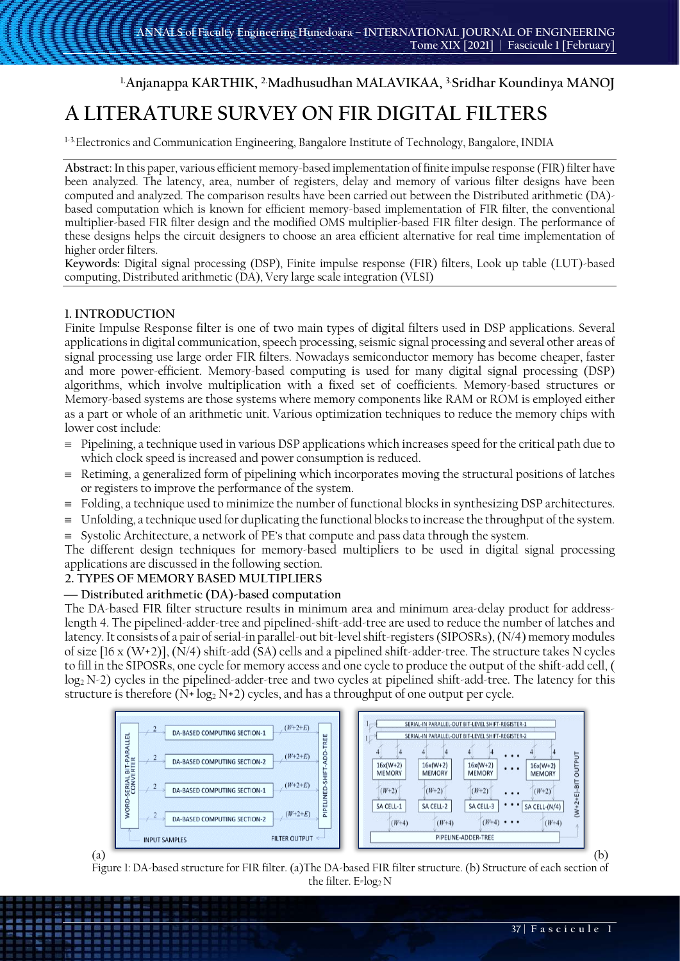# **1.Anjanappa KARTHIK, 2.Madhusudhan MALAVIKAA, 3.Sridhar Koundinya MANOJ**

# **A LITERATURE SURVEY ON FIR DIGITAL FILTERS**

1-3. Electronics and Communication Engineering, Bangalore Institute of Technology, Bangalore, INDIA

**Abstract:** In this paper, various efficient memory-based implementation of finite impulse response (FIR) filter have been analyzed. The latency, area, number of registers, delay and memory of various filter designs have been computed and analyzed. The comparison results have been carried out between the Distributed arithmetic (DA) based computation which is known for efficient memory-based implementation of FIR filter, the conventional multiplier-based FIR filter design and the modified OMS multiplier-based FIR filter design. The performance of these designs helps the circuit designers to choose an area efficient alternative for real time implementation of higher order filters.

**Keywords:** Digital signal processing (DSP), Finite impulse response (FIR) filters, Look up table (LUT)-based computing, Distributed arithmetic (DA), Very large scale integration (VLSI)

### **1. INTRODUCTION**

Finite Impulse Response filter is one of two main types of digital filters used in DSP applications. Several applications in digital communication, speech processing, seismic signal processing and several other areas of signal processing use large order FIR filters. Nowadays semiconductor memory has become cheaper, faster and more power-efficient. Memory-based computing is used for many digital signal processing (DSP) algorithms, which involve multiplication with a fixed set of coefficients. Memory-based structures or Memory-based systems are those systems where memory components like RAM or ROM is employed either as a part or whole of an arithmetic unit. Various optimization techniques to reduce the memory chips with lower cost include:

- ≡ Pipelining, a technique used in various DSP applications which increases speed for the critical path due to which clock speed is increased and power consumption is reduced.
- ≡ Retiming, a generalized form of pipelining which incorporates moving the structural positions of latches or registers to improve the performance of the system.
- Folding, a technique used to minimize the number of functional blocks in synthesizing DSP architectures.
- ≡ Unfolding, a technique used for duplicating the functional blocks to increase the throughput of the system.
- ≡ Systolic Architecture, a network of PE's that compute and pass data through the system.

The different design techniques for memory-based multipliers to be used in digital signal processing applications are discussed in the following section.

# **2. TYPES OF MEMORY BASED MULTIPLIERS**

# **Distributed arithmetic (DA)-based computation**

The DA-based FIR filter structure results in minimum area and minimum area-delay product for addresslength 4. The pipelined-adder-tree and pipelined-shift-add-tree are used to reduce the number of latches and latency. It consists of a pair of serial-in parallel-out bit-level shift-registers (SIPOSRs), (N/4) memory modules of size  $[16 \times (W+2)]$ ,  $(N/4)$  shift-add (SA) cells and a pipelined shift-adder-tree. The structure takes N cycles to fill in the SIPOSRs, one cycle for memory access and one cycle to produce the output of the shift-add cell, ( log<sub>2</sub> N-2) cycles in the pipelined-adder-tree and two cycles at pipelined shift-add-tree. The latency for this structure is therefore  $(N+ \log_2 N+2)$  cycles, and has a throughput of one output per cycle.



Figure 1: DA-based structure for FIR filter. (a)The DA-based FIR filter structure. (b) Structure of each section of the filter.  $E = log<sub>2</sub> N$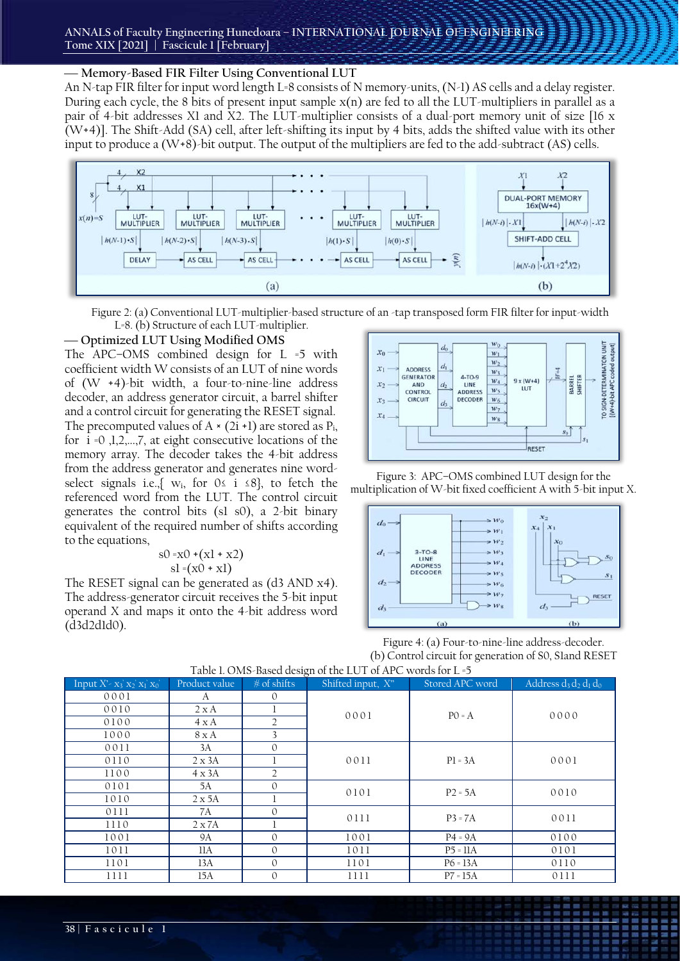#### **Memory-Based FIR Filter Using Conventional LUT**

An N-tap FIR filter for input word length L=8 consists of N memory-units, (N-1) AS cells and a delay register. During each cycle, the 8 bits of present input sample  $x(n)$  are fed to all the LUT-multipliers in parallel as a pair of 4-bit addresses X1 and X2. The LUT-multiplier consists of a dual-port memory unit of size [16 x  $(W+4)$ ]. The Shift-Add (SA) cell, after left-shifting its input by 4 bits, adds the shifted value with its other input to produce a (W+8)-bit output. The output of the multipliers are fed to the add-subtract (AS) cells.





#### **Optimized LUT Using Modified OMS**

The APC–OMS combined design for L =5 with coefficient width W consists of an LUT of nine words of (W +4)-bit width, a four-to-nine-line address decoder, an address generator circuit, a barrel shifter and a control circuit for generating the RESET signal. The precomputed values of A  $\times$  (2i +1) are stored as P<sub>i</sub>, for i =0 ,1,2,...,7, at eight consecutive locations of the memory array. The decoder takes the 4-bit address from the address generator and generates nine wordselect signals i.e.,{ w<sub>i</sub>, for  $0 \leq i \leq 8$ }, to fetch the referenced word from the LUT. The control circuit generates the control bits (s1 s0), a 2-bit binary equivalent of the required number of shifts according to the equations,

$$
s0 = x0 + (x1 + x2)
$$
  
sl = (x0 + x1)

The RESET signal can be generated as (d3 AND x4). The address-generator circuit receives the 5-bit input operand X and maps it onto the 4-bit address word (d3d2d1d0).



Figure 3: APC–OMS combined LUT design for the multiplication of W-bit fixed coefficient A with 5-bit input X.



Figure 4: (a) Four-to-nine-line address-decoder. (b) Control circuit for generation of S0, S1and RESET

| Input $X' \times x_3' x_2' x_1' x_0'$ | Product value | $#$ of shifts  | Shifted input, X" | Stored APC word | Address $d_3 d_2 d_1 d_0$ |  |
|---------------------------------------|---------------|----------------|-------------------|-----------------|---------------------------|--|
| 0001                                  | А             | $\Omega$       |                   |                 |                           |  |
| 0010                                  | 2xA           |                | 0001              | $PO = A$        | 0000                      |  |
| 0100                                  | $4 \times A$  | $\overline{2}$ |                   |                 |                           |  |
| 1000                                  | 8 x A         | 3              |                   |                 |                           |  |
| 0011                                  | 3A            | $\Omega$       |                   |                 |                           |  |
| 0110                                  | $2 \times 3A$ |                | 0011              | $P1 = 3A$       | 0001                      |  |
| 1100                                  | $4 \times 3A$ | $\overline{2}$ |                   |                 |                           |  |
| 0101                                  | 5A            | $\Omega$       | 0101              | $P2 = 5A$       | 0010                      |  |
| 1010                                  | $2 \times 5A$ |                |                   |                 |                           |  |
| 0111                                  | 7A            | $\Omega$       | 0111              | $P3 = 7A$       | 0011                      |  |
| 1110                                  | $2 \times 7A$ |                |                   |                 |                           |  |
| 1001                                  | 9A            | $\Omega$       | 1001              | $P4 = 9A$       | 0100                      |  |
| 1011                                  | llA           | $\mathbf{0}$   | 1011              | $P5 = 11A$      | 0101                      |  |
| 1101                                  | 13A           | $\mathbf{0}$   | 1101              | $P6 = 13A$      | 0110                      |  |
| 1111                                  | 15A           | $\mathbf{0}$   | 1111              | $P7 = 15A$      | 0111                      |  |

Table 1. OMS-Based design of the LUT of APC words for L =5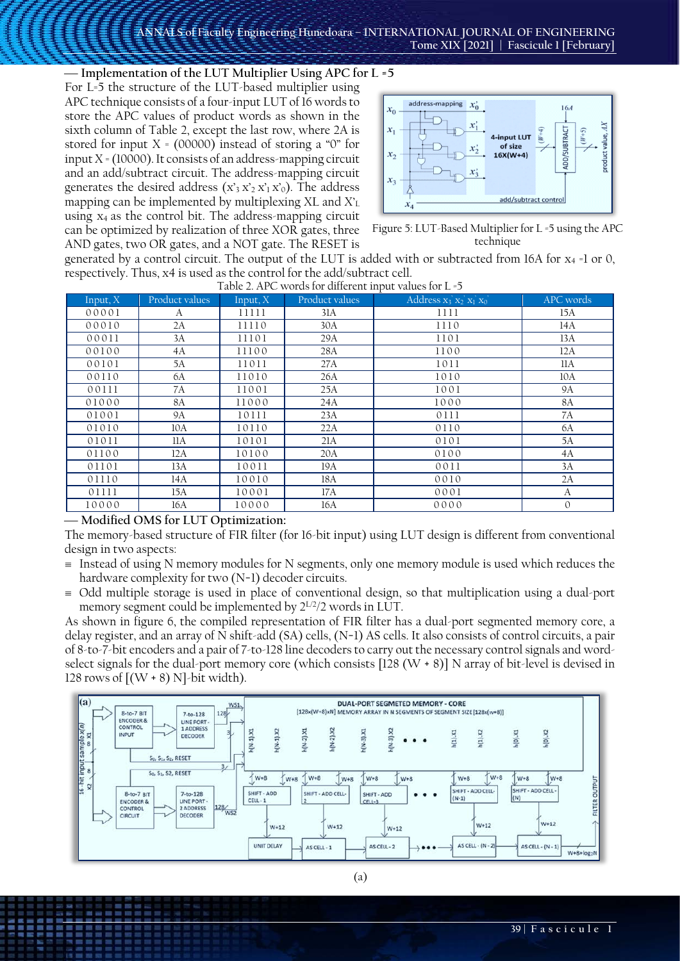**Implementation of the LUT Multiplier Using APC for L =5**

For L=5 the structure of the LUT-based multiplier using APC technique consists of a four-input LUT of 16 words to store the APC values of product words as shown in the sixth column of Table 2, except the last row, where 2A is stored for input  $X = (00000)$  instead of storing a "0" for input  $X = (10000)$ . It consists of an address-mapping circuit and an add/subtract circuit. The address-mapping circuit generates the desired address  $(x_3 x_2 x_1 x_0)$ . The address mapping can be implemented by multiplexing XL and X'L using  $x_4$  as the control bit. The address-mapping circuit can be optimized by realization of three XOR gates, three AND gates, two OR gates, and a NOT gate. The RESET is



Figure 5: LUT-Based Multiplier for L =5 using the APC technique

generated by a control circuit. The output of the LUT is added with or subtracted from 16A for  $x_4$  =1 or 0, respectively. Thus, x4 is used as the control for the add/subtract cell.

| Input, X | Product values | Input, $X$ | Product values | Address $\overline{x_3}$ $\overline{x_2}$ $\overline{x_1}$ $\overline{x_0}$ | APC words    |
|----------|----------------|------------|----------------|-----------------------------------------------------------------------------|--------------|
| 00001    | А              | 11111      | 31A            | 1111                                                                        | 15A          |
| 00010    | 2A             | 11110      | 30A            | 1110                                                                        | 14A          |
| 00011    | 3A             | 11101      | 29A            | 1101                                                                        | 13A          |
| 00100    | 4А             | 11100      | 28A            | 1100                                                                        | 12A          |
| 00101    | 5Α             | 11011      | 27A            | 1011                                                                        | 11A          |
| 00110    | 6A             | 11010      | 26A            | 1010                                                                        | 10A          |
| 00111    | 7A             | 11001      | 25A            | 1001                                                                        | <b>9A</b>    |
| 01000    | <b>8A</b>      | 11000      | 24A            | 1000                                                                        | <b>8A</b>    |
| 01001    | <b>9A</b>      | 10111      | 23A            | 0111                                                                        | 7A           |
| 01010    | 10A            | 10110      | 22A            | 0110                                                                        | 6A           |
| 01011    | ПA             | 10101      | 21A            | 0101                                                                        | 5A           |
| 01100    | 12A            | 10100      | 20A            | 0100                                                                        | 4A           |
| 01101    | 13A            | 10011      | 19A            | 0011                                                                        | 3A           |
| 01110    | 14A            | 10010      | 18A            | 0010                                                                        | 2A           |
| 01111    | 15A            | 10001      | 17A            | 0001                                                                        | A            |
| 10000    | 16A            | 10000      | 16A            | 0000                                                                        | $\mathbf{0}$ |

Table 2. APC words for different input values for  $I = 5$ 

**Modified OMS for LUT Optimization:**

The memory-based structure of FIR filter (for 16-bit input) using LUT design is different from conventional design in two aspects:

- ≡ Instead of using N memory modules for N segments, only one memory module is used which reduces the hardware complexity for two (N−1) decoder circuits.
- ≡ Odd multiple storage is used in place of conventional design, so that multiplication using a dual-port memory segment could be implemented by  $2^{L/2}/2$  words in LUT.

As shown in figure 6, the compiled representation of FIR filter has a dual-port segmented memory core, a delay register, and an array of N shift-add (SA) cells, (N−1) AS cells. It also consists of control circuits, a pair of 8-to-7-bit encoders and a pair of 7-to-128 line decoders to carry out the necessary control signals and wordselect signals for the dual-port memory core (which consists [128 (W + 8)] N array of bit-level is devised in 128 rows of  $[(W + 8) N]$ -bit width).

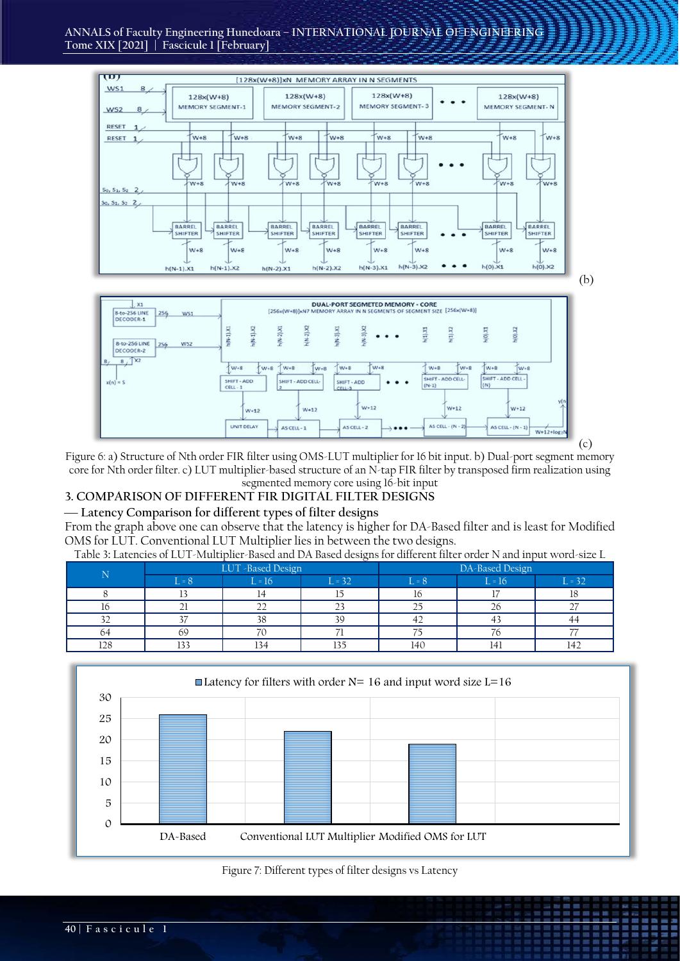

Figure 6: a) Structure of Nth order FIR filter using OMS-LUT multiplier for 16 bit input. b) Dual-port segment memory core for Nth order filter. c) LUT multiplier-based structure of an N-tap FIR filter by transposed firm realization using segmented memory core using 16-bit input

### **3. COMPARISON OF DIFFERENT FIR DIGITAL FILTER DESIGNS**

# **Latency Comparison for different types of filter designs**

From the graph above one can observe that the latency is higher for DA-Based filter and is least for Modified OMS for LUT. Conventional LUT Multiplier lies in between the two designs.

Table 3**:** Latencies of LUT-Multiplier-Based and DA Based designs for different filter order N and input word-size L

| $\mathbf{X}$ | LUT - Based Design |          |          | DA-Based Design |                          |          |
|--------------|--------------------|----------|----------|-----------------|--------------------------|----------|
|              | $L = 8$            | $L = 16$ | $L = 32$ | $L = 8$         | $L = 16$                 | $L = 32$ |
|              |                    |          |          | IΟ              | $\overline{\phantom{a}}$ |          |
|              |                    |          | ∩-       |                 |                          |          |
| ےر           |                    | ⊃⊂       |          |                 |                          |          |
| 64           | 69                 |          |          |                 |                          |          |
| 120          | ר רו               | 134      |          | 140             | 14.                      |          |



#### Figure 7: Different types of filter designs vs Latency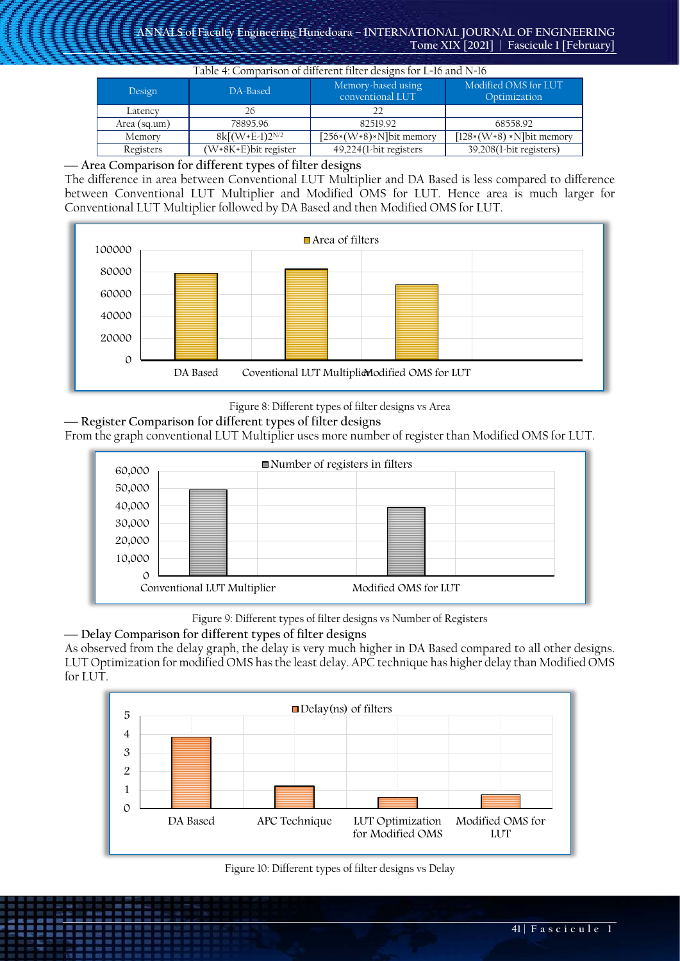| Table 4: Comparison of different filter designs for L=16 and N=16 |                       |                                          |                                          |  |
|-------------------------------------------------------------------|-----------------------|------------------------------------------|------------------------------------------|--|
| Design                                                            | DA-Based              | Memory-based using<br>conventional LUT   | Modified OMS for LUT<br>Optimization     |  |
| Latency                                                           | 26                    |                                          |                                          |  |
| Area (sq.um)                                                      | 78895.96              | 82519.92                                 | 68558.92                                 |  |
| Memory                                                            | $8k[(W+E-1)2^{N/2}]$  | $[256 \times (W+8) \times N]$ bit memory | $[128 \times (W+8) \times N]$ bit memory |  |
| Registers                                                         | (W+8K+E) bit register | 49,224(1-bit registers                   | 39,208(1-bit registers)                  |  |

**Area Comparison for different types of filter designs**

The difference in area between Conventional LUT Multiplier and DA Based is less compared to difference between Conventional LUT Multiplier and Modified OMS for LUT. Hence area is much larger for Conventional LUT Multiplier followed by DA Based and then Modified OMS for LUT.



Figure 8: Different types of filter designs vs Area

**Register Comparison for different types of filter designs**

From the graph conventional LUT Multiplier uses more number of register than Modified OMS for LUT.



Figure 9: Different types of filter designs vs Number of Registers

**Delay Comparison for different types of filter designs**

As observed from the delay graph, the delay is very much higher in DA Based compared to all other designs. LUT Optimization for modified OMS has the least delay. APC technique has higher delay than Modified OMS for LUT.